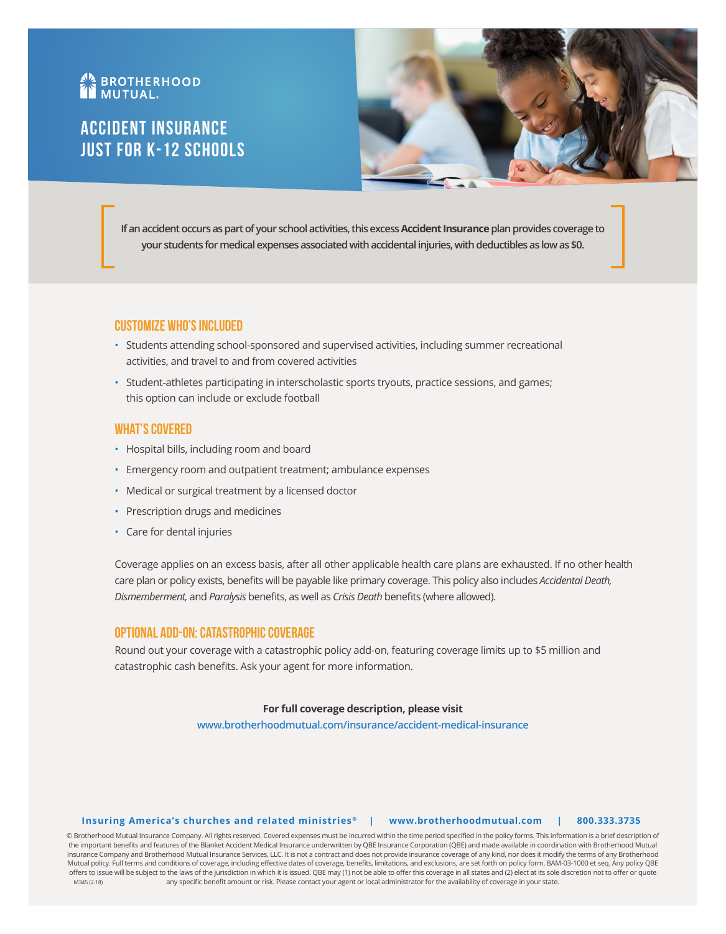# **AN BROTHERHOOD**

## Accident Insurance Just for K-12 schools



**If an accident occurs as part of your school activities, this excess Accident Insurance plan provides coverage to your students for medical expenses associated with accidental injuries, with deductibles as low as \$0.** 

## **Customize Who's Included**

- Students attending school-sponsored and supervised activities, including summer recreational activities, and travel to and from covered activities
- Student-athletes participating in interscholastic sports tryouts, practice sessions, and games; this option can include or exclude football

## **What's Covered**

- Hospital bills, including room and board
- Emergency room and outpatient treatment; ambulance expenses
- Medical or surgical treatment by a licensed doctor
- Prescription drugs and medicines
- Care for dental injuries

Coverage applies on an excess basis, after all other applicable health care plans are exhausted. If no other health care plan or policy exists, benefits will be payable like primary coverage. This policy also includes *Accidental Death, Dismemberment,* and *Paralysis* benefits, as well as *Crisis Death* benefits (where allowed).

## **Optional Add-On: Catastrophic Coverage**

Round out your coverage with a catastrophic policy add-on, featuring coverage limits up to \$5 million and catastrophic cash benefits. Ask your agent for more information.

## **For full coverage description, please visit**

**www.brotherhoodmutual.com/insurance/accident-medical-insurance**

## **Insuring America's churches and related ministries ® | www.brotherhoodmutual.com | 800.333.3735**

© Brotherhood Mutual Insurance Company. All rights reserved. Covered expenses must be incurred within the time period specified in the policy forms. This information is a brief description of the important benefits and features of the Blanket Accident Medical Insurance underwritten by QBE Insurance Corporation (QBE) and made available in coordination with Brotherhood Mutual Insurance Company and Brotherhood Mutual Insurance Services, LLC. It is not a contract and does not provide insurance coverage of any kind, nor does it modify the terms of any Brotherhood Mutual policy. Full terms and conditions of coverage, including effective dates of coverage, benefits, limitations, and exclusions, are set forth on policy form, BAM-03-1000 et seq. Any policy QBE offers to issue will be subject to the laws of the jurisdiction in which it is issued. QBE may (1) not be able to offer this coverage in all states and (2) elect at its sole discretion not to offer or quote any specific benefit amount or risk. Please contact your agent or local administrator for the availability of coverage in your state. M345 (2.18)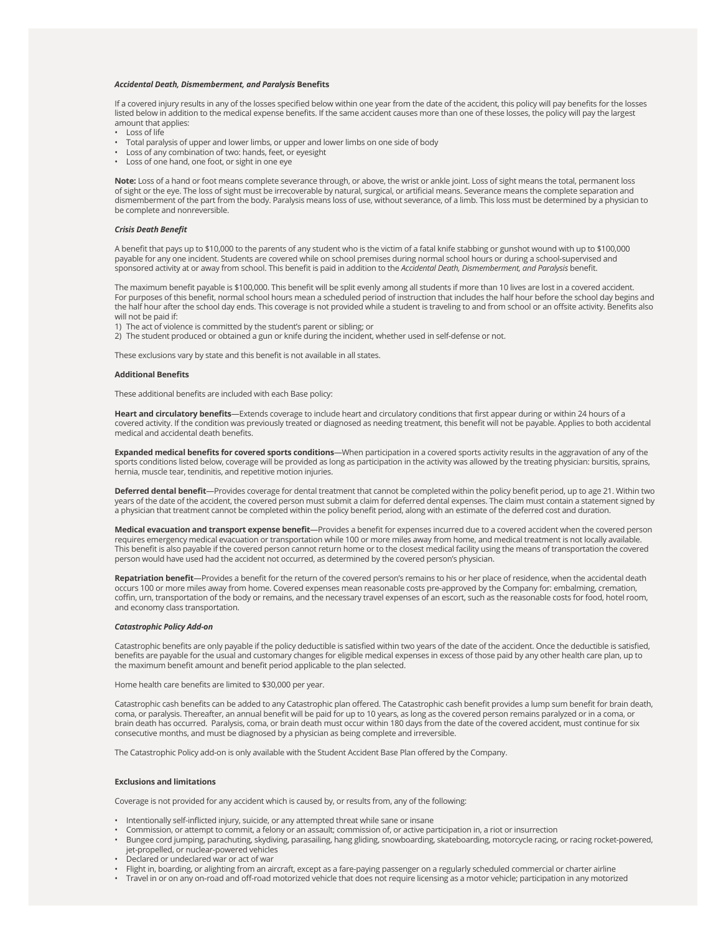#### *Accidental Death, Dismemberment, and Paralysis* **Benefits**

If a covered injury results in any of the losses specified below within one year from the date of the accident, this policy will pay benefits for the losses listed below in addition to the medical expense benefits. If the same accident causes more than one of these losses, the policy will pay the largest amount that applies:

- Loss of life
- Total paralysis of upper and lower limbs, or upper and lower limbs on one side of body
- Loss of any combination of two: hands, feet, or eyesight
- Loss of one hand, one foot, or sight in one eye

**Note:** Loss of a hand or foot means complete severance through, or above, the wrist or ankle joint. Loss of sight means the total, permanent loss of sight or the eye. The loss of sight must be irrecoverable by natural, surgical, or artificial means. Severance means the complete separation and dismemberment of the part from the body. Paralysis means loss of use, without severance, of a limb. This loss must be determined by a physician to be complete and nonreversible.

#### *Crisis Death Benefit*

A benefit that pays up to \$10,000 to the parents of any student who is the victim of a fatal knife stabbing or gunshot wound with up to \$100,000 payable for any one incident. Students are covered while on school premises during normal school hours or during a school-supervised and sponsored activity at or away from school. This benefit is paid in addition to the *Accidental Death, Dismemberment, and Paralysis* benefit.

The maximum benefit payable is \$100,000. This benefit will be split evenly among all students if more than 10 lives are lost in a covered accident. For purposes of this benefit, normal school hours mean a scheduled period of instruction that includes the half hour before the school day begins and the half hour after the school day ends. This coverage is not provided while a student is traveling to and from school or an offsite activity. Benefits also will not be paid if:

- 1) The act of violence is committed by the student's parent or sibling; or
- 2) The student produced or obtained a gun or knife during the incident, whether used in self-defense or not.

These exclusions vary by state and this benefit is not available in all states.

#### **Additional Benefits**

These additional benefits are included with each Base policy:

**Heart and circulatory benefits**—Extends coverage to include heart and circulatory conditions that first appear during or within 24 hours of a covered activity. If the condition was previously treated or diagnosed as needing treatment, this benefit will not be payable. Applies to both accidental medical and accidental death benefits.

**Expanded medical benefits for covered sports conditions**—When participation in a covered sports activity results in the aggravation of any of the sports conditions listed below, coverage will be provided as long as participation in the activity was allowed by the treating physician: bursitis, sprains, hernia, muscle tear, tendinitis, and repetitive motion injuries.

**Deferred dental benefit**—Provides coverage for dental treatment that cannot be completed within the policy benefit period, up to age 21. Within two years of the date of the accident, the covered person must submit a claim for deferred dental expenses. The claim must contain a statement signed by a physician that treatment cannot be completed within the policy benefit period, along with an estimate of the deferred cost and duration.

**Medical evacuation and transport expense benefit**—Provides a benefit for expenses incurred due to a covered accident when the covered person requires emergency medical evacuation or transportation while 100 or more miles away from home, and medical treatment is not locally available. This benefit is also payable if the covered person cannot return home or to the closest medical facility using the means of transportation the covered person would have used had the accident not occurred, as determined by the covered person's physician.

**Repatriation benefit**—Provides a benefit for the return of the covered person's remains to his or her place of residence, when the accidental death occurs 100 or more miles away from home. Covered expenses mean reasonable costs pre-approved by the Company for: embalming, cremation, coffin, urn, transportation of the body or remains, and the necessary travel expenses of an escort, such as the reasonable costs for food, hotel room, and economy class transportation.

### *Catastrophic Policy Add-on*

Catastrophic benefits are only payable if the policy deductible is satisfied within two years of the date of the accident. Once the deductible is satisfied, benefits are payable for the usual and customary changes for eligible medical expenses in excess of those paid by any other health care plan, up to the maximum benefit amount and benefit period applicable to the plan selected.

Home health care benefits are limited to \$30,000 per year.

Catastrophic cash benefits can be added to any Catastrophic plan offered. The Catastrophic cash benefit provides a lump sum benefit for brain death, coma, or paralysis. Thereafter, an annual benefit will be paid for up to 10 years, as long as the covered person remains paralyzed or in a coma, or brain death has occurred. Paralysis, coma, or brain death must occur within 180 days from the date of the covered accident, must continue for six consecutive months, and must be diagnosed by a physician as being complete and irreversible.

The Catastrophic Policy add-on is only available with the Student Accident Base Plan offered by the Company.

#### **Exclusions and limitations**

Coverage is not provided for any accident which is caused by, or results from, any of the following:

- Intentionally self-inflicted injury, suicide, or any attempted threat while sane or insane
- Commission, or attempt to commit, a felony or an assault; commission of, or active participation in, a riot or insurrection
- Bungee cord jumping, parachuting, skydiving, parasailing, hang gliding, snowboarding, skateboarding, motorcycle racing, or racing rocket-powered, jet-propelled, or nuclear-powered vehicles
- Declared or undeclared war or act of war
- Flight in, boarding, or alighting from an aircraft, except as a fare-paying passenger on a regularly scheduled commercial or charter airline
- Travel in or on any on-road and off-road motorized vehicle that does not require licensing as a motor vehicle; participation in any motorized